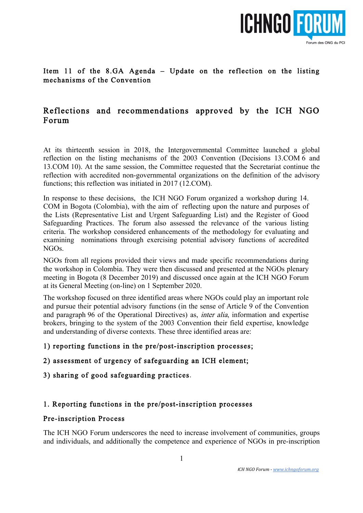

# Item 11 of the 8.GA Agenda – Update on the reflection on the listing mechanisms of the Convention

# Reflections and recommendations approved by the ICH NGO Forum

At its thirteenth session in 2018, the Intergovernmental Committee launched a global reflection on the listing mechanisms of the 2003 Convention (Decisions 13.COM 6 and 13.COM 10). At the same session, the Committee requested that the Secretariat continue the reflection with accredited non-governmental organizations on the definition of the advisory functions; this reflection was initiated in 2017 (12.COM).

In response to these decisions, the ICH NGO Forum organized a workshop during 14. COM in Bogota (Colombia), with the aim of reflecting upon the nature and purposes of the Lists (Representative List and Urgent Safeguarding List) and the Register of Good Safeguarding Practices. The forum also assessed the relevance of the various listing criteria. The workshop considered enhancements of the methodology for evaluating and examining nominations through exercising potential advisory functions of accredited NGOs.

NGOs from all regions provided their views and made specific recommendations during the workshop in Colombia. They were then discussed and presented at the NGOs plenary meeting in Bogota (8 December 2019) and discussed once again at the ICH NGO Forum at its General Meeting (on-line) on 1 September 2020.

The workshop focused on three identified areas where NGOs could play an important role and pursue their potential advisory functions (in the sense of Article 9 of the Convention and paragraph 96 of the Operational Directives) as, inter alia, information and expertise brokers, bringing to the system of the 2003 Convention their field expertise, knowledge and understanding of diverse contexts. These three identified areas are:

# 1) reporting functions in the pre/post-inscription processes;

# 2) assessment of urgency of safeguarding an ICH element;

# 3) sharing of good safeguarding practices.

# 1. Reporting functions in the pre/post-inscription processes

#### Pre-inscription Process

The ICH NGO Forum underscores the need to increase involvement of communities, groups and individuals, and additionally the competence and experience of NGOs in pre-inscription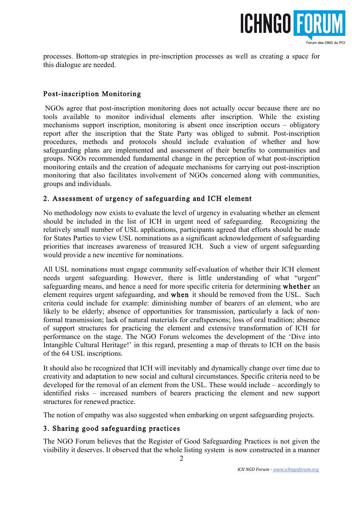

processes. Bottom-up strategies in pre-inscription processes as well as creating a space for this dialogue are needed.

#### Post-inscription Monitoring

 NGOs agree that post-inscription monitoring does not actually occur because there are no tools available to monitor individual elements after inscription. While the existing mechanisms support inscription, monitoring is absent once inscription occurs – obligatory report after the inscription that the State Party was obliged to submit. Post-inscription procedures, methods and protocols should include evaluation of whether and how safeguarding plans are implemented and assessment of their benefits to communities and groups. NGOs recommended fundamental change in the perception of what post-inscription monitoring entails and the creation of adequate mechanisms for carrying out post-inscription monitoring that also facilitates involvement of NGOs concerned along with communities, groups and individuals.

#### 2. Assessment of urgency of safeguarding and ICH element

No methodology now exists to evaluate the level of urgency in evaluating whether an element should be included in the list of ICH in urgent need of safeguarding. Recognizing the relatively small number of USL applications, participants agreed that efforts should be made for States Parties to view USL nominations as a significant acknowledgement of safeguarding priorities that increases awareness of treasured ICH. Such a view of urgent safeguarding would provide a new incentive for nominations.

All USL nominations must engage community self-evaluation of whether their ICH element needs urgent safeguarding. However, there is little understanding of what "urgent" safeguarding means, and hence a need for more specific criteria for determining whether an element requires urgent safeguarding, and when it should be removed from the USL. Such criteria could include for example: diminishing number of bearers of an element, who are likely to be elderly; absence of opportunities for transmission, particularly a lack of nonformal transmission; lack of natural materials for craftspersons; loss of oral tradition; absence of support structures for practicing the element and extensive transformation of ICH for performance on the stage. The NGO Forum welcomes the development of the 'Dive into Intangible Cultural Heritage!' in this regard, presenting a map of threats to ICH on the basis of the 64 USL inscriptions.

It should also be recognized that ICH will inevitably and dynamically change over time due to creativity and adaptation to new social and cultural circumstances. Specific criteria need to be developed for the removal of an element from the USL. These would include – accordingly to identified risks – increased numbers of bearers practicing the element and new support structures for renewed practice.

The notion of empathy was also suggested when embarking on urgent safeguarding projects.

#### 3. Sharing good safeguarding practices

The NGO Forum believes that the Register of Good Safeguarding Practices is not given the visibility it deserves. It observed that the whole listing system is now constructed in a manner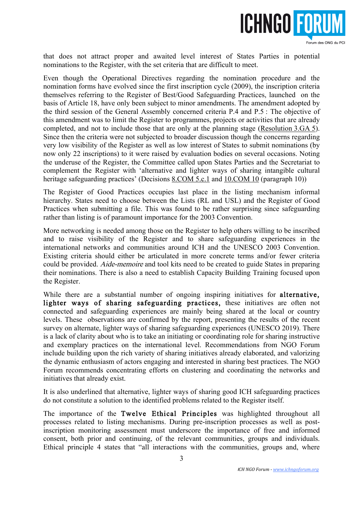

that does not attract proper and awaited level interest of States Parties in potential nominations to the Register, with the set criteria that are difficult to meet.

Even though the Operational Directives regarding the nomination procedure and the nomination forms have evolved since the first inscription cycle (2009), the inscription criteria themselves referring to the Register of Best/Good Safeguarding Practices, launched on the basis of Article 18, have only been subject to minor amendments. The amendment adopted by the third session of the General Assembly concerned criteria P.4 and P.5 : The objective of this amendment was to limit the Register to programmes, projects or activities that are already completed, and not to include those that are only at the planning stage (Resolution 3.GA 5). Since then the criteria were not subjected to broader discussion though the concerns regarding very low visibility of the Register as well as low interest of States to submit nominations (by now only 22 inscriptions) to it were raised by evaluation bodies on several occasions. Noting the underuse of the Register, the Committee called upon States Parties and the Secretariat to complement the Register with 'alternative and lighter ways of sharing intangible cultural heritage safeguarding practices' (Decisions 8.COM 5.c.1 and 10.COM 10 (paragraph 10))

The Register of Good Practices occupies last place in the listing mechanism informal hierarchy. States need to choose between the Lists (RL and USL) and the Register of Good Practices when submitting a file. This was found to be rather surprising since safeguarding rather than listing is of paramount importance for the 2003 Convention.

More networking is needed among those on the Register to help others willing to be inscribed and to raise visibility of the Register and to share safeguarding experiences in the international networks and communities around ICH and the UNESCO 2003 Convention. Existing criteria should either be articulated in more concrete terms and/or fewer criteria could be provided. Aide-memoire and tool kits need to be created to guide States in preparing their nominations. There is also a need to establish Capacity Building Training focused upon the Register.

While there are a substantial number of ongoing inspiring initiatives for alternative, lighter ways of sharing safeguarding practices, these initiatives are often not connected and safeguarding experiences are mainly being shared at the local or country levels. These observations are confirmed by the report, presenting the results of the recent survey on alternate, lighter ways of sharing safeguarding experiences (UNESCO 2019). There is a lack of clarity about who is to take an initiating or coordinating role for sharing instructive and exemplary practices on the international level. Recommendations from NGO Forum include building upon the rich variety of sharing initiatives already elaborated, and valorizing the dynamic enthusiasm of actors engaging and interested in sharing best practices. The NGO Forum recommends concentrating efforts on clustering and coordinating the networks and initiatives that already exist.

It is also underlined that alternative, lighter ways of sharing good ICH safeguarding practices do not constitute a solution to the identified problems related to the Register itself.

The importance of the Twelve Ethical Principles was highlighted throughout all processes related to listing mechanisms. During pre-inscription processes as well as postinscription monitoring assessment must underscore the importance of free and informed consent, both prior and continuing, of the relevant communities, groups and individuals. Ethical principle 4 states that "all interactions with the communities, groups and, where